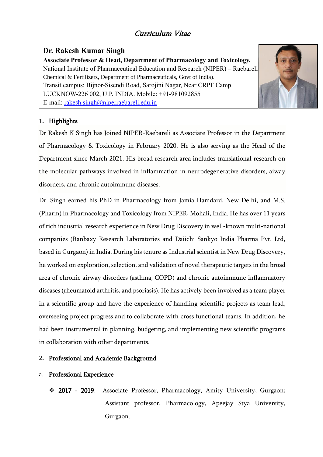# **Y Dr. Rakesh Kumar Singh**

 Chemical & Fertilizers, Department of Pharmaceuticals, Govt of India). LUCKNOW-226 002, U.P. INDIA. Mobile: +91-981092855 **Associate Professor & Head, Department of Pharmacology and Toxicology.** National Institute of Pharmaceutical Education and Research (NIPER) – Raebareli Transit campus: Bijnor-Sisendi Road, Sarojini Nagar, Near CRPF Camp E-mail: [rakesh.singh@niperraebareli.edu.in](mailto:rakesh.singh@niperraebareli.edu.in)



## **1.** Highlights

Dr Rakesh K Singh has Joined NIPER-Raebareli as Associate Professor in the Department of Pharmacology & Toxicology in February 2020. He is also serving as the Head of the Department since March 2021. His broad research area includes translational research on the molecular pathways involved in inflammation in neurodegenerative disorders, aiway disorders, and chronic autoimmune diseases.

Dr. Singh earned his PhD in Pharmacology from Jamia Hamdard, New Delhi, and M.S. (Pharm) in Pharmacology and Toxicology from NIPER, Mohali, India. He has over 11 years of rich industrial research experience in New Drug Discovery in well-known multi-national companies (Ranbaxy Research Laboratories and Daiichi Sankyo India Pharma Pvt. Ltd, based in Gurgaon) in India. During his tenure as Industrial scientist in New Drug Discovery, he worked on exploration, selection, and validation of novel therapeutic targets in the broad area of chronic airway disorders (asthma, COPD) and chronic autoimmune inflammatory diseases (rheumatoid arthritis, and psoriasis). He has actively been involved as a team player in a scientific group and have the experience of handling scientific projects as team lead, overseeing project progress and to collaborate with cross functional teams. In addition, he had been instrumental in planning, budgeting, and implementing new scientific programs in collaboration with other departments.

## **2.** Professional and Academic Background

## a. Professional Experience

❖ 2017 - 2019: Associate Professor, Pharmacology, Amity University, Gurgaon; Assistant professor, Pharmacology, Apeejay Stya University, Gurgaon.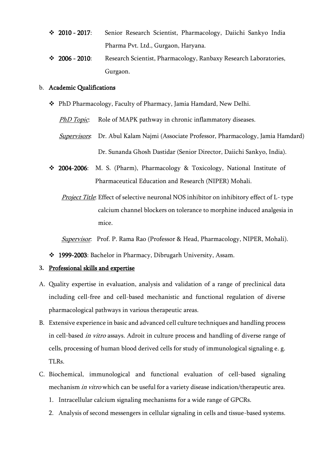- ❖ 2010 2017: Senior Research Scientist, Pharmacology, Daiichi Sankyo India Pharma Pvt. Ltd., Gurgaon, Haryana.
- ❖ 2006 2010: Research Scientist, Pharmacology, Ranbaxy Research Laboratories, Gurgaon.

#### b. Academic Qualifications

❖ PhD Pharmacology, Faculty of Pharmacy, Jamia Hamdard, New Delhi.

PhD Topic: Role of MAPK pathway in chronic inflammatory diseases.

- Supervisors: Dr. Abul Kalam Najmi (Associate Professor, Pharmacology, Jamia Hamdard) Dr. Sunanda Ghosh Dastidar (Senior Director, Daiichi Sankyo, India).
- ❖ 2004-2006: M. S. (Pharm), Pharmacology & Toxicology, National Institute of Pharmaceutical Education and Research (NIPER) Mohali.
	- **Project Title:** Effect of selective neuronal NOS inhibitor on inhibitory effect of L-type calcium channel blockers on tolerance to morphine induced analgesia in mice.

**Supervisor:** Prof. P. Rama Rao (Professor & Head, Pharmacology, NIPER, Mohali).

❖ 1999-2003: Bachelor in Pharmacy, Dibrugarh University, Assam.

#### **3.** Professional skills and expertise

- A. Quality expertise in evaluation, analysis and validation of a range of preclinical data including cell-free and cell-based mechanistic and functional regulation of diverse pharmacological pathways in various therapeutic areas.
- B. Extensive experience in basic and advanced cell culture techniques and handling process in cell-based in vitro assays. Adroit in culture process and handling of diverse range of cells, processing of human blood derived cells for study of immunological signaling e. g. TLRs.
- C. Biochemical, immunological and functional evaluation of cell-based signaling mechanism *in vitro* which can be useful for a variety disease indication/therapeutic area.
	- 1. Intracellular calcium signaling mechanisms for a wide range of GPCRs.
	- 2. Analysis of second messengers in cellular signaling in cells and tissue-based systems.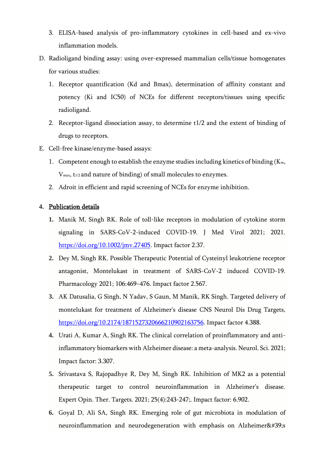- 3. ELISA-based analysis of pro-inflammatory cytokines in cell-based and ex-vivo inflammation models.
- D. Radioligand binding assay: using over-expressed mammalian cells/tissue homogenates for various studies:
	- 1. Receptor quantification (Kd and Bmax), determination of affinity constant and potency (Ki and IC50) of NCEs for different receptors/tissues using specific radioligand.
	- 2. Receptor-ligand dissociation assay, to determine t1/2 and the extent of binding of drugs to receptors.
- E. Cell-free kinase/enzyme-based assays:
	- 1. Competent enough to establish the enzyme studies including kinetics of binding  $(K_m,$ V<sub>max</sub>, t<sub>1/2</sub> and nature of binding) of small molecules to enzymes.
	- 2. Adroit in efficient and rapid screening of NCEs for enzyme inhibition.

#### **4.** Publication details

- **1.** Manik M, Singh RK. Role of toll-like receptors in modulation of cytokine storm signaling in SARS-CoV-2-induced COVID-19. J Med Virol 2021; 2021. [https://doi.org/10.1002/jmv.27405.](https://doi.org/10.1002/jmv.27405) Impact factor 2.37.
- **2.** Dey M, Singh RK. Possible Therapeutic Potential of Cysteinyl leukotriene receptor antagonist, Montelukast in treatment of SARS-CoV-2 induced COVID-19. Pharmacology 2021; 106:469–476. Impact factor 2.567.
- **3.** AK Datusalia, G Singh, N Yadav, S Gaun, M Manik, RK Singh. Targeted delivery of montelukast for treatment of Alzheimer's disease CNS Neurol Dis Drug Targets, [https://doi.org/10.2174/1871527320666210902163756.](https://doi.org/10.2174/1871527320666210902163756) Impact factor 4.388.
- **4.** Urati A, Kumar A, Singh RK. The clinical correlation of proinflammatory and antiinflammatory biomarkers with Alzheimer disease: a meta-analysis. Neurol. Sci. 2021; Impact factor: 3.307.
- **5.** Srivastava S, Rajopadhye R, Dey M, Singh RK. Inhibition of MK2 as a potential therapeutic target to control neuroinflammation in Alzheimer's disease. Expert Opin. Ther. Targets. 2021; 25(4):243-247;. Impact factor: 6.902.
- **6.** Goyal D, Ali SA, Singh RK. Emerging role of gut microbiota in modulation of neuroinflammation and neurodegeneration with emphasis on Alzheimer $&\#39;$ s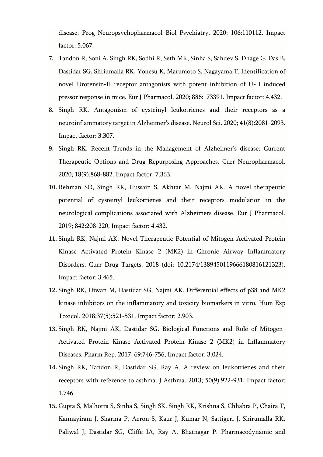disease. Prog Neuropsychopharmacol Biol Psychiatry. 2020; 106:110112. Impact factor: 5.067.

- **7.** Tandon R, Soni A, Singh RK, Sodhi R, Seth MK, Sinha S, Sahdev S, Dhage G, Das B, Dastidar SG, Shriumalla RK, Yonesu K, Marumoto S, Nagayama T. Identification of novel Urotensin-II receptor antagonists with potent inhibition of U-II induced pressor response in mice. Eur J Pharmacol. 2020; 886:173391. Impact factor: 4.432.
- **8.** Singh RK. Antagonism of cysteinyl leukotrienes and their receptors as a neuroinflammatory target in Alzheimer's disease. Neurol Sci. 2020; 41(8):2081-2093. Impact factor: 3.307.
- **9.** Singh RK. Recent Trends in the Management of Alzheimer's disease: Current Therapeutic Options and Drug Repurposing Approaches. Curr Neuropharmacol. 2020; 18(9):868-882. Impact factor: 7.363.
- **10.** Rehman SO, Singh RK, Hussain S, Akhtar M, Najmi AK. A novel therapeutic potential of cysteinyl leukotrienes and their receptors modulation in the neurological complications associated with Alzheimers disease. Eur J Pharmacol. 2019; 842:208-220, Impact factor: 4.432.
- **11.** Singh RK, Najmi AK. Novel Therapeutic Potential of Mitogen-Activated Protein Kinase Activated Protein Kinase 2 (MK2) in Chronic Airway Inflammatory Disorders. Curr Drug Targets. 2018 (doi: 10.2174/1389450119666180816121323). Impact factor: 3.465.
- **12.** Singh RK, Diwan M, Dastidar SG, Najmi AK. Differential effects of p38 and MK2 kinase inhibitors on the inflammatory and toxicity biomarkers in vitro. Hum Exp Toxicol. 2018;37(5):521-531. Impact factor: 2.903.
- **13.** Singh RK, Najmi AK, Dastidar SG. Biological Functions and Role of Mitogen-Activated Protein Kinase Activated Protein Kinase 2 (MK2) in Inflammatory Diseases. Pharm Rep. 2017; 69:746-756, Impact factor: 3.024.
- **14.** Singh RK, Tandon R, Dastidar SG, Ray A. A review on leukotrienes and their receptors with reference to asthma. J Asthma. 2013; 50(9):922-931, Impact factor: 1.746.
- **15.** Gupta S, Malhotra S, Sinha S, Singh SK, Singh RK, Krishna S, Chhabra P, Chaira T, Kannayiram J, Sharma P, Aeron S, Kaur J, Kumar N, Sattigeri J, Shirumalla RK, Paliwal J, Dastidar SG, Cliffe IA, Ray A, Bhatnagar P. Pharmacodynamic and